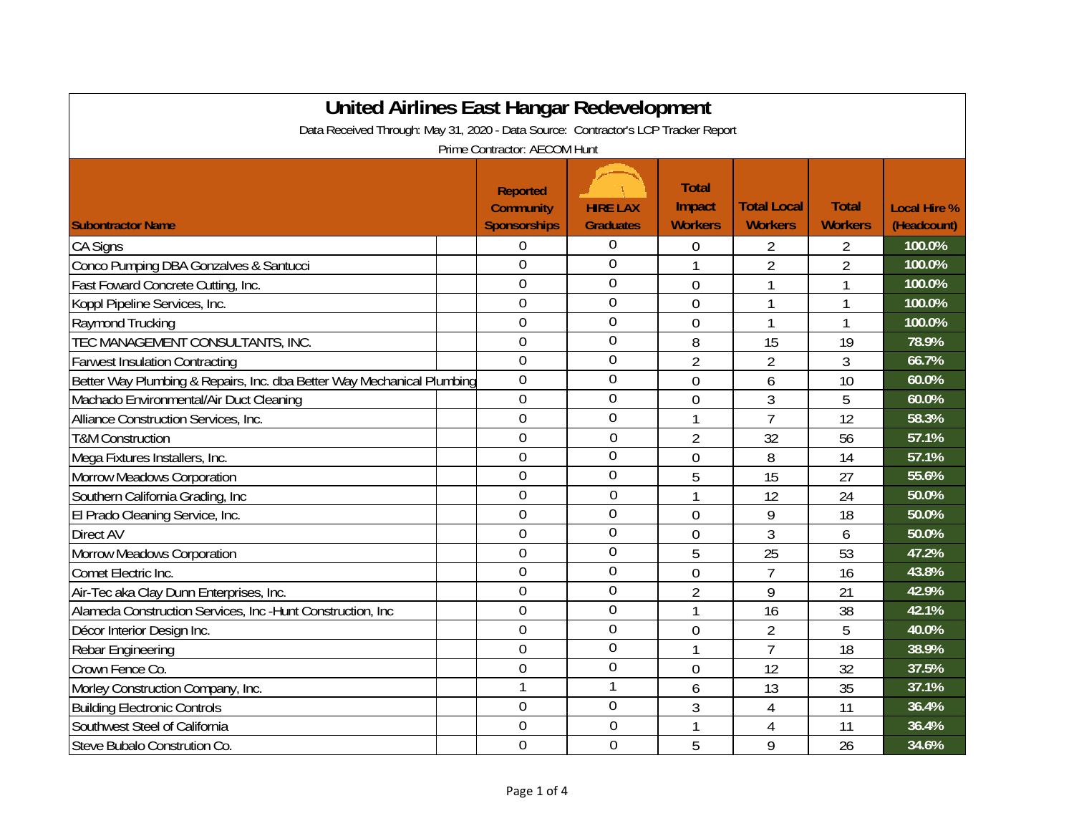| United Airlines East Hangar Redevelopment                                          |                                                            |                                     |                                          |                                      |                                |                                    |  |
|------------------------------------------------------------------------------------|------------------------------------------------------------|-------------------------------------|------------------------------------------|--------------------------------------|--------------------------------|------------------------------------|--|
| Data Received Through: May 31, 2020 - Data Source: Contractor's LCP Tracker Report |                                                            |                                     |                                          |                                      |                                |                                    |  |
|                                                                                    | Prime Contractor: AECOM Hunt                               |                                     |                                          |                                      |                                |                                    |  |
| <b>Subontractor Name</b>                                                           | <b>Reported</b><br><b>Community</b><br><b>Sponsorships</b> | <b>HIRE LAX</b><br><b>Graduates</b> | <b>Total</b><br>Impact<br><b>Workers</b> | <b>Total Local</b><br><b>Workers</b> | <b>Total</b><br><b>Workers</b> | <b>Local Hire %</b><br>(Headcount) |  |
| <b>CA Signs</b>                                                                    | 0                                                          | $\boldsymbol{0}$                    | 0                                        | 2                                    | 2                              | 100.0%                             |  |
| Conco Pumping DBA Gonzalves & Santucci                                             | $\overline{0}$                                             | $\overline{0}$                      |                                          | $\overline{2}$                       | $\overline{2}$                 | 100.0%                             |  |
| Fast Foward Concrete Cutting, Inc.                                                 | $\overline{0}$                                             | $\overline{0}$                      | $\overline{0}$                           | 1                                    | 1                              | 100.0%                             |  |
| Koppl Pipeline Services, Inc.                                                      | $\overline{0}$                                             | $\overline{0}$                      | 0                                        | 1                                    | 1                              | 100.0%                             |  |
| Raymond Trucking                                                                   | $\overline{0}$                                             | $\theta$                            | $\overline{0}$                           | 1                                    | $\mathbf{1}$                   | 100.0%                             |  |
| TEC MANAGEMENT CONSULTANTS, INC.                                                   | $\overline{0}$                                             | $\theta$                            | 8                                        | 15                                   | 19                             | 78.9%                              |  |
| <b>Farwest Insulation Contracting</b>                                              | $\overline{0}$                                             | $\overline{0}$                      | $\overline{2}$                           | $\overline{2}$                       | 3                              | 66.7%                              |  |
| Better Way Plumbing & Repairs, Inc. dba Better Way Mechanical Plumbing             | $\mathbf 0$                                                | $\overline{0}$                      | $\overline{0}$                           | 6                                    | 10                             | 60.0%                              |  |
| Machado Environmental/Air Duct Cleaning                                            | $\mathbf 0$                                                | 0                                   | $\overline{0}$                           | 3                                    | 5                              | 60.0%                              |  |
| Alliance Construction Services, Inc.                                               | $\overline{0}$                                             | $\overline{0}$                      |                                          | $\overline{7}$                       | 12                             | 58.3%                              |  |
| <b>T&amp;M Construction</b>                                                        | $\overline{0}$                                             | $\theta$                            | $\overline{2}$                           | 32                                   | 56                             | 57.1%                              |  |
| Mega Fixtures Installers, Inc.                                                     | $\overline{0}$                                             | $\overline{0}$                      | $\overline{0}$                           | 8                                    | 14                             | 57.1%                              |  |
| Morrow Meadows Corporation                                                         | $\overline{0}$                                             | $\overline{0}$                      | 5                                        | 15                                   | 27                             | 55.6%                              |  |
| Southern California Grading, Inc.                                                  | $\overline{0}$                                             | $\overline{0}$                      | 1                                        | 12                                   | 24                             | 50.0%                              |  |
| El Prado Cleaning Service, Inc.                                                    | $\overline{0}$                                             | $\theta$                            | $\overline{0}$                           | 9                                    | 18                             | 50.0%                              |  |
| Direct AV                                                                          | $\overline{0}$                                             | $\overline{0}$                      | $\overline{0}$                           | 3                                    | 6                              | 50.0%                              |  |
| Morrow Meadows Corporation                                                         | $\theta$                                                   | $\overline{0}$                      | 5                                        | 25                                   | 53                             | 47.2%                              |  |
| Comet Electric Inc.                                                                | $\overline{0}$                                             | $\overline{0}$                      | $\overline{0}$                           | $\overline{7}$                       | 16                             | 43.8%                              |  |
| Air-Tec aka Clay Dunn Enterprises, Inc.                                            | $\overline{0}$                                             | $\overline{0}$                      | $\overline{2}$                           | 9                                    | 21                             | 42.9%                              |  |
| Alameda Construction Services, Inc -Hunt Construction, Inc                         | $\overline{0}$                                             | $\overline{0}$                      | 1                                        | 16                                   | 38                             | 42.1%                              |  |
| Décor Interior Design Inc.                                                         | $\overline{0}$                                             | 0                                   | 0                                        | $\overline{2}$                       | 5                              | 40.0%                              |  |
| Rebar Engineering                                                                  | $\overline{0}$                                             | $\overline{0}$                      | 1                                        | $\overline{1}$                       | 18                             | 38.9%                              |  |
| Crown Fence Co.                                                                    | $\theta$                                                   | $\overline{0}$                      | $\overline{0}$                           | 12                                   | 32                             | 37.5%                              |  |
| Morley Construction Company, Inc.                                                  | $\overline{1}$                                             | 1                                   | 6                                        | 13                                   | 35                             | 37.1%                              |  |
| <b>Building Electronic Controls</b>                                                | $\overline{0}$                                             | $\overline{0}$                      | 3                                        | 4                                    | 11                             | 36.4%                              |  |
| Southwest Steel of California                                                      | $\overline{0}$                                             | $\overline{0}$                      |                                          | $\overline{4}$                       | 11                             | 36.4%                              |  |
| Steve Bubalo Constrution Co.                                                       | $\overline{0}$                                             | $\overline{0}$                      | 5                                        | 9                                    | 26                             | 34.6%                              |  |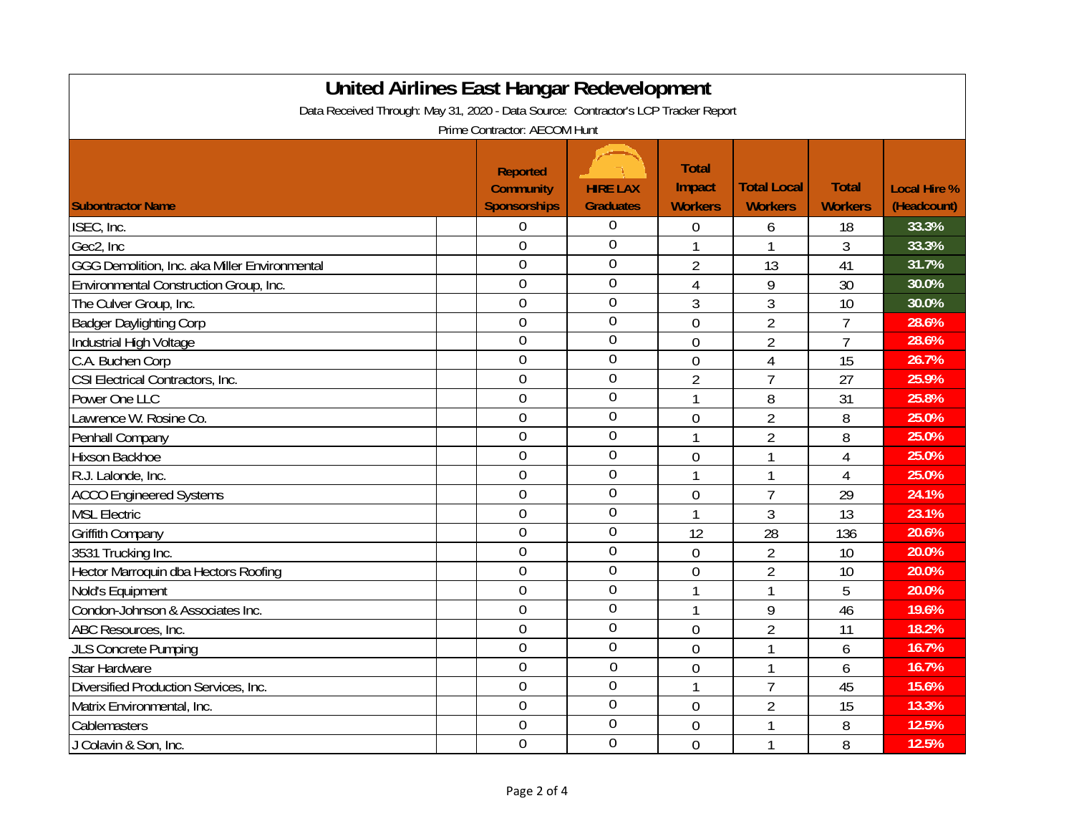| <b>United Airlines East Hangar Redevelopment</b>                                   |                     |                  |                |                    |                |                     |  |
|------------------------------------------------------------------------------------|---------------------|------------------|----------------|--------------------|----------------|---------------------|--|
| Data Received Through: May 31, 2020 - Data Source: Contractor's LCP Tracker Report |                     |                  |                |                    |                |                     |  |
| Prime Contractor: AECOM Hunt                                                       |                     |                  |                |                    |                |                     |  |
|                                                                                    |                     |                  |                |                    |                |                     |  |
|                                                                                    | <b>Reported</b>     |                  | <b>Total</b>   |                    |                |                     |  |
|                                                                                    | <b>Community</b>    | <b>HIRE LAX</b>  | Impact         | <b>Total Local</b> | <b>Total</b>   | <b>Local Hire %</b> |  |
| <b>Subontractor Name</b>                                                           | <b>Sponsorships</b> | <b>Graduates</b> | <b>Workers</b> | <b>Workers</b>     | <b>Workers</b> | (Headcount)         |  |
| ISEC, Inc.                                                                         | $\overline{0}$      | $\overline{0}$   | $\overline{0}$ | 6                  | 18             | 33.3%               |  |
| Gec2, Inc                                                                          | $\theta$            | $\overline{0}$   | $\mathbf{1}$   |                    | 3              | 33.3%               |  |
| GGG Demolition, Inc. aka Miller Environmental                                      | $\overline{0}$      | $\overline{0}$   | $\overline{2}$ | 13                 | 41             | 31.7%               |  |
| Environmental Construction Group, Inc.                                             | $\theta$            | $\overline{0}$   | $\overline{4}$ | 9                  | 30             | 30.0%               |  |
| The Culver Group, Inc.                                                             | $\overline{0}$      | $\overline{0}$   | 3              | 3                  | 10             | 30.0%               |  |
| <b>Badger Daylighting Corp</b>                                                     | $\overline{0}$      | $\mathbf 0$      | $\overline{0}$ | $\overline{2}$     | $\overline{7}$ | 28.6%               |  |
| Industrial High Voltage                                                            | $\overline{0}$      | $\overline{0}$   | $\overline{0}$ | $\overline{2}$     | $\overline{7}$ | 28.6%               |  |
| C.A. Buchen Corp                                                                   | $\overline{0}$      | $\mathbf 0$      | $\mathbf 0$    | $\overline{4}$     | 15             | 26.7%               |  |
| CSI Electrical Contractors, Inc.                                                   | $\overline{0}$      | $\overline{0}$   | $\overline{2}$ | $\overline{7}$     | 27             | 25.9%               |  |
| Power One LLC                                                                      | $\overline{0}$      | $\overline{0}$   | 1              | 8                  | 31             | 25.8%               |  |
| Lawrence W. Rosine Co.                                                             | $\overline{0}$      | $\overline{0}$   | $\overline{0}$ | $\overline{2}$     | 8              | 25.0%               |  |
| Penhall Company                                                                    | $\overline{0}$      | $\overline{0}$   | $\mathbf{1}$   | $\overline{2}$     | 8              | 25.0%               |  |
| Hixson Backhoe                                                                     | $\overline{0}$      | $\overline{0}$   | $\overline{0}$ | 1                  | 4              | 25.0%               |  |
| R.J. Lalonde, Inc.                                                                 | $\overline{0}$      | $\overline{0}$   | 1              | 1                  | 4              | 25.0%               |  |
| <b>ACCO Engineered Systems</b>                                                     | $\overline{0}$      | $\overline{0}$   | $\overline{0}$ | $\overline{1}$     | 29             | 24.1%               |  |
| <b>MSL Electric</b>                                                                | $\mathbf 0$         | $\mathbf 0$      | 1              | 3                  | 13             | 23.1%               |  |
| <b>Griffith Company</b>                                                            | $\overline{0}$      | $\mathbf 0$      | 12             | 28                 | 136            | 20.6%               |  |
| 3531 Trucking Inc.                                                                 | $\overline{0}$      | $\overline{0}$   | 0              | $\overline{2}$     | 10             | 20.0%               |  |
| Hector Marroquin dba Hectors Roofing                                               | $\overline{0}$      | $\overline{0}$   | $\mathbf 0$    | $\overline{2}$     | 10             | 20.0%               |  |
| Nold's Equipment                                                                   | $\overline{0}$      | $\overline{0}$   | 1              | 1                  | 5              | 20.0%               |  |
| Condon-Johnson & Associates Inc.                                                   | $\overline{0}$      | $\overline{0}$   | 1              | 9                  | 46             | 19.6%               |  |
| ABC Resources, Inc.                                                                | $\overline{0}$      | $\overline{0}$   | $\overline{0}$ | $\overline{2}$     | 11             | 18.2%               |  |
| <b>JLS Concrete Pumping</b>                                                        | $\overline{0}$      | $\mathbf 0$      | $\mathbf 0$    | 1                  | 6              | 16.7%               |  |
| Star Hardware                                                                      | $\overline{0}$      | $\mathbf 0$      | $\overline{0}$ | 1                  | 6              | 16.7%               |  |
| Diversified Production Services, Inc.                                              | $\mathbf 0$         | $\mathbf 0$      | 1              | $\overline{1}$     | 45             | 15.6%               |  |
| Matrix Environmental, Inc.                                                         | $\overline{0}$      | $\overline{0}$   | $\overline{0}$ | $\overline{2}$     | 15             | 13.3%               |  |
| Cablemasters                                                                       | $\theta$            | $\overline{0}$   | 0              | 1                  | 8              | 12.5%               |  |
| J Colavin & Son, Inc.                                                              | $\overline{0}$      | $\overline{0}$   | $\overline{0}$ | 1                  | 8              | 12.5%               |  |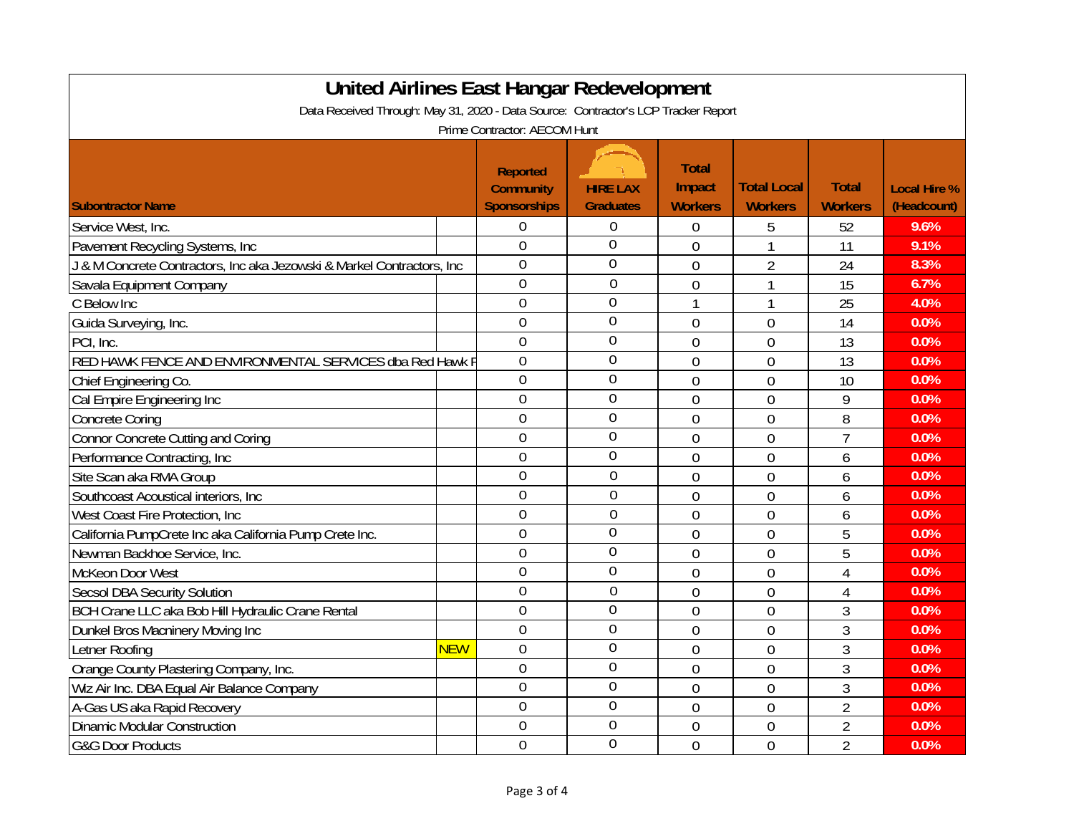| <b>United Airlines East Hangar Redevelopment</b><br>Data Received Through: May 31, 2020 - Data Source: Contractor's LCP Tracker Report |            |                                                            |                                     |                                          |                                      |                                |                                    |
|----------------------------------------------------------------------------------------------------------------------------------------|------------|------------------------------------------------------------|-------------------------------------|------------------------------------------|--------------------------------------|--------------------------------|------------------------------------|
| Prime Contractor: AECOM Hunt                                                                                                           |            |                                                            |                                     |                                          |                                      |                                |                                    |
| <b>Subontractor Name</b>                                                                                                               |            | <b>Reported</b><br><b>Community</b><br><b>Sponsorships</b> | <b>HIRE LAX</b><br><b>Graduates</b> | <b>Total</b><br>Impact<br><b>Workers</b> | <b>Total Local</b><br><b>Workers</b> | <b>Total</b><br><b>Workers</b> | <b>Local Hire %</b><br>(Headcount) |
| Service West, Inc.                                                                                                                     |            | 0                                                          | $\boldsymbol{0}$                    | 0                                        | 5                                    | 52                             | 9.6%                               |
| Pavement Recycling Systems, Inc.                                                                                                       |            | $\overline{0}$                                             | $\overline{0}$                      | $\overline{0}$                           | 1                                    | 11                             | 9.1%                               |
| J & M Concrete Contractors, Inc aka Jezowski & Markel Contractors, Inc                                                                 |            | $\overline{0}$                                             | $\overline{0}$                      | $\overline{0}$                           | $\overline{2}$                       | 24                             | 8.3%                               |
| Savala Equipment Company                                                                                                               |            | $\overline{0}$                                             | $\overline{0}$                      | $\overline{0}$                           | 1                                    | 15                             | 6.7%                               |
| C Below Inc                                                                                                                            |            | $\overline{0}$                                             | $\overline{0}$                      | 1                                        | 1                                    | 25                             | 4.0%                               |
| Guida Surveying, Inc.                                                                                                                  |            | $\overline{0}$                                             | $\overline{0}$                      | $\overline{0}$                           | $\overline{0}$                       | 14                             | 0.0%                               |
| PCI, Inc.                                                                                                                              |            | $\overline{0}$                                             | $\mathbf 0$                         | $\overline{0}$                           | $\overline{0}$                       | 13                             | 0.0%                               |
| RED HAWK FENCE AND ENVIRONMENTAL SERVICES dba Red Hawk F                                                                               |            | $\overline{0}$                                             | $\mathbf 0$                         | $\overline{0}$                           | $\mathbf 0$                          | 13                             | 0.0%                               |
| Chief Engineering Co.                                                                                                                  |            | $\overline{0}$                                             | $\overline{0}$                      | $\overline{0}$                           | $\overline{0}$                       | 10                             | 0.0%                               |
| Cal Empire Engineering Inc                                                                                                             |            | $\overline{0}$                                             | $\overline{0}$                      | $\overline{0}$                           | $\overline{0}$                       | 9                              | 0.0%                               |
| <b>Concrete Coring</b>                                                                                                                 |            | $\overline{0}$                                             | $\overline{0}$                      | $\overline{0}$                           | $\overline{0}$                       | 8                              | 0.0%                               |
| <b>Connor Concrete Cutting and Coring</b>                                                                                              |            | $\overline{0}$                                             | $\overline{0}$                      | $\overline{0}$                           | $\overline{0}$                       | $\overline{7}$                 | 0.0%                               |
| Performance Contracting, Inc.                                                                                                          |            | $\overline{0}$                                             | $\overline{0}$                      | $\overline{0}$                           | $\overline{0}$                       | 6                              | 0.0%                               |
| Site Scan aka RMA Group                                                                                                                |            | $\overline{0}$                                             | $\overline{0}$                      | $\overline{0}$                           | $\overline{0}$                       | 6                              | 0.0%                               |
| Southcoast Acoustical interiors, Inc                                                                                                   |            | $\overline{0}$                                             | $\overline{0}$                      | $\overline{0}$                           | $\mathbf 0$                          | 6                              | 0.0%                               |
| West Coast Fire Protection, Inc.                                                                                                       |            | $\mathbf 0$                                                | $\mathbf 0$                         | $\overline{0}$                           | $\mathbf 0$                          | 6                              | 0.0%                               |
| California PumpCrete Inc aka California Pump Crete Inc.                                                                                |            | $\overline{0}$                                             | $\overline{0}$                      | $\overline{0}$                           | $\mathbf 0$                          | 5                              | 0.0%                               |
| Newman Backhoe Service, Inc.                                                                                                           |            | $\mathbf 0$                                                | $\overline{0}$                      | $\overline{0}$                           | $\mathbf{0}$                         | 5                              | 0.0%                               |
| McKeon Door West                                                                                                                       |            | $\overline{0}$                                             | $\overline{0}$                      | $\overline{0}$                           | $\overline{0}$                       | $\overline{4}$                 | 0.0%                               |
| <b>Secsol DBA Security Solution</b>                                                                                                    |            | $\overline{0}$                                             | $\overline{0}$                      | $\overline{0}$                           | $\overline{0}$                       | $\overline{4}$                 | 0.0%                               |
| BCH Crane LLC aka Bob Hill Hydraulic Crane Rental                                                                                      |            | $\overline{0}$                                             | $\overline{0}$                      | $\overline{0}$                           | $\overline{0}$                       | 3                              | 0.0%                               |
| Dunkel Bros Macninery Moving Inc                                                                                                       |            | $\overline{0}$                                             | $\overline{0}$                      | $\overline{0}$                           | $\overline{0}$                       | $\overline{3}$                 | 0.0%                               |
| Letner Roofing                                                                                                                         | <b>NEW</b> | $\mathbf 0$                                                | $\mathbf 0$                         | $\overline{0}$                           | $\overline{0}$                       | 3                              | 0.0%                               |
| Orange County Plastering Company, Inc.                                                                                                 |            | $\overline{0}$                                             | $\mathbf{0}$                        | $\overline{0}$                           | $\overline{0}$                       | 3                              | 0.0%                               |
| Wiz Air Inc. DBA Equal Air Balance Company                                                                                             |            | $\mathbf 0$                                                | $\mathbf 0$                         | $\overline{0}$                           | $\overline{0}$                       | 3                              | 0.0%                               |
| A-Gas US aka Rapid Recovery                                                                                                            |            | $\overline{0}$                                             | $\overline{0}$                      | $\overline{0}$                           | $\mathbf{0}$                         | $\overline{2}$                 | 0.0%                               |
| <b>Dinamic Modular Construction</b>                                                                                                    |            | 0                                                          | $\overline{0}$                      | $\mathbf 0$                              | $\mathbf{0}$                         | 2                              | 0.0%                               |
| <b>G&amp;G Door Products</b>                                                                                                           |            | $\overline{0}$                                             | $\theta$                            | $\overline{0}$                           | $\overline{0}$                       | $\overline{2}$                 | 0.0%                               |